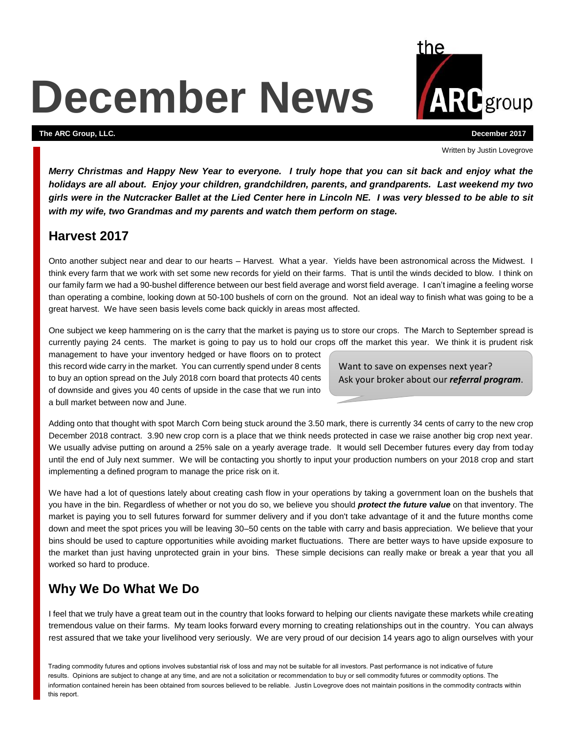# **December News**

#### **The ARC Group, LLC. December 2017**

Written by Justin Lovegrove

*Merry Christmas and Happy New Year to everyone. I truly hope that you can sit back and enjoy what the holidays are all about. Enjoy your children, grandchildren, parents, and grandparents. Last weekend my two girls were in the Nutcracker Ballet at the Lied Center here in Lincoln NE. I was very blessed to be able to sit with my wife, two Grandmas and my parents and watch them perform on stage.*

#### **Harvest 2017**

Onto another subject near and dear to our hearts – Harvest. What a year. Yields have been astronomical across the Midwest. I think every farm that we work with set some new records for yield on their farms. That is until the winds decided to blow. I think on our family farm we had a 90-bushel difference between our best field average and worst field average. I can't imagine a feeling worse than operating a combine, looking down at 50-100 bushels of corn on the ground. Not an ideal way to finish what was going to be a great harvest. We have seen basis levels come back quickly in areas most affected.

One subject we keep hammering on is the carry that the market is paying us to store our crops. The March to September spread is currently paying 24 cents. The market is going to pay us to hold our crops off the market this year. We think it is prudent risk

management to have your inventory hedged or have floors on to protect this record wide carry in the market. You can currently spend under 8 cents to buy an option spread on the July 2018 corn board that protects 40 cents of downside and gives you 40 cents of upside in the case that we run into a bull market between now and June.

Want to save on expenses next year? Ask your broker about our *referral program*.

Adding onto that thought with spot March Corn being stuck around the 3.50 mark, there is currently 34 cents of carry to the new crop December 2018 contract. 3.90 new crop corn is a place that we think needs protected in case we raise another big crop next year. We usually advise putting on around a 25% sale on a yearly average trade. It would sell December futures every day from today until the end of July next summer. We will be contacting you shortly to input your production numbers on your 2018 crop and start implementing a defined program to manage the price risk on it.

We have had a lot of questions lately about creating cash flow in your operations by taking a government loan on the bushels that you have in the bin. Regardless of whether or not you do so, we believe you should *protect the future value* on that inventory. The market is paying you to sell futures forward for summer delivery and if you don't take advantage of it and the future months come down and meet the spot prices you will be leaving 30–50 cents on the table with carry and basis appreciation. We believe that your bins should be used to capture opportunities while avoiding market fluctuations. There are better ways to have upside exposure to the market than just having unprotected grain in your bins. These simple decisions can really make or break a year that you all worked so hard to produce.

## **Why We Do What We Do**

I feel that we truly have a great team out in the country that looks forward to helping our clients navigate these markets while creating tremendous value on their farms. My team looks forward every morning to creating relationships out in the country. You can always rest assured that we take your livelihood very seriously. We are very proud of our decision 14 years ago to align ourselves with your

Trading commodity futures and options involves substantial risk of loss and may not be suitable for all investors. Past performance is not indicative of future results. Opinions are subject to change at any time, and are not a solicitation or recommendation to buy or sell commodity futures or commodity options. The information contained herein has been obtained from sources believed to be reliable. Justin Lovegrove does not maintain positions in the commodity contracts within this report.

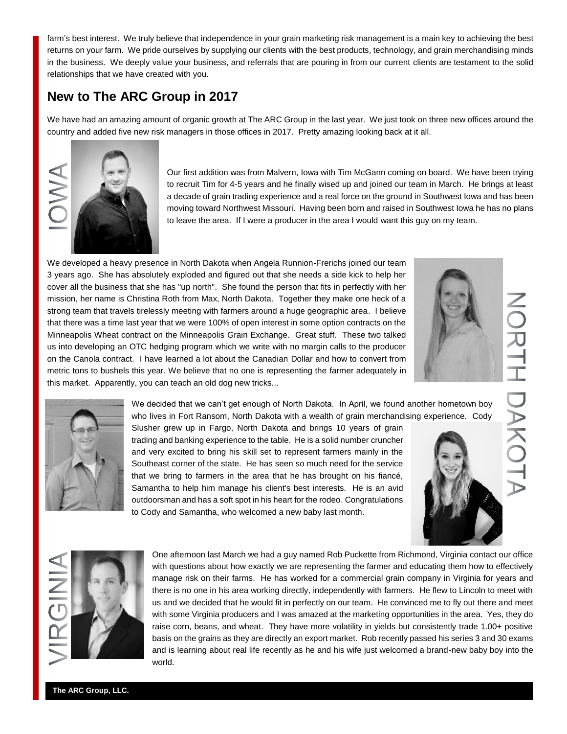farm's best interest. We truly believe that independence in your grain marketing risk management is a main key to achieving the best returns on your farm. We pride ourselves by supplying our clients with the best products, technology, and grain merchandising minds in the business. We deeply value your business, and referrals that are pouring in from our current clients are testament to the solid relationships that we have created with you.

## **New to The ARC Group in 2017**

We have had an amazing amount of organic growth at The ARC Group in the last year. We just took on three new offices around the country and added five new risk managers in those offices in 2017. Pretty amazing looking back at it all.



Our first addition was from Malvern, Iowa with Tim McGann coming on board. We have been trying to recruit Tim for 4-5 years and he finally wised up and joined our team in March. He brings at least a decade of grain trading experience and a real force on the ground in Southwest Iowa and has been moving toward Northwest Missouri. Having been born and raised in Southwest Iowa he has no plans to leave the area. If I were a producer in the area I would want this guy on my team.

We developed a heavy presence in North Dakota when Angela Runnion-Frerichs joined our team 3 years ago. She has absolutely exploded and figured out that she needs a side kick to help her cover all the business that she has "up north". She found the person that fits in perfectly with her mission, her name is Christina Roth from Max, North Dakota. Together they make one heck of a strong team that travels tirelessly meeting with farmers around a huge geographic area. I believe that there was a time last year that we were 100% of open interest in some option contracts on the Minneapolis Wheat contract on the Minneapolis Grain Exchange. Great stuff. These two talked us into developing an OTC hedging program which we write with no margin calls to the producer on the Canola contract. I have learned a lot about the Canadian Dollar and how to convert from metric tons to bushels this year. We believe that no one is representing the farmer adequately in this market. Apparently, you can teach an old dog new tricks...





We decided that we can't get enough of North Dakota. In April, we found another hometown boy who lives in Fort Ransom, North Dakota with a wealth of grain merchandising experience. Cody

Slusher grew up in Fargo, North Dakota and brings 10 years of grain trading and banking experience to the table. He is a solid number cruncher and very excited to bring his skill set to represent farmers mainly in the Southeast corner of the state. He has seen so much need for the service that we bring to farmers in the area that he has brought on his fiancé, Samantha to help him manage his client's best interests. He is an avid outdoorsman and has a soft spot in his heart for the rodeo. Congratulations to Cody and Samantha, who welcomed a new baby last month.



DAKC



One afternoon last March we had a guy named Rob Puckette from Richmond, Virginia contact our office with questions about how exactly we are representing the farmer and educating them how to effectively manage risk on their farms. He has worked for a commercial grain company in Virginia for years and there is no one in his area working directly, independently with farmers. He flew to Lincoln to meet with us and we decided that he would fit in perfectly on our team. He convinced me to fly out there and meet with some Virginia producers and I was amazed at the marketing opportunities in the area. Yes, they do raise corn, beans, and wheat. They have more volatility in yields but consistently trade 1.00+ positive basis on the grains as they are directly an export market. Rob recently passed his series 3 and 30 exams and is learning about real life recently as he and his wife just welcomed a brand-new baby boy into the world.